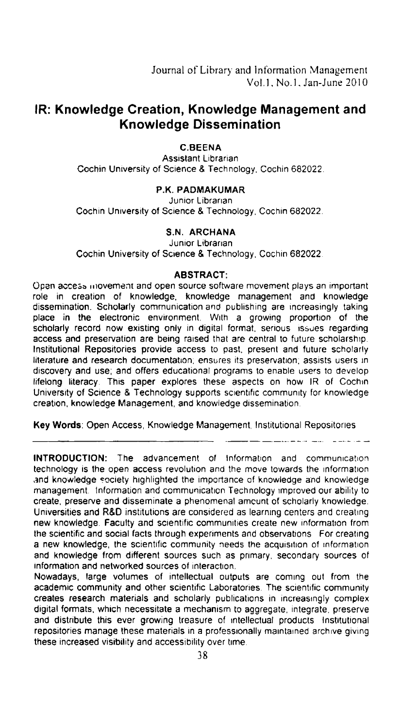# IR: Knowledge Creation, Knowledge Management and Knowledge Dissemination

C.BEENA

Assistant Librarian Cochin University of Science 8. Technology. Cochin 682022.

### P.K. PADMAKUMAR

Junior Librarian Cochin University of Science 8. Technology. Cochin 682022.

### S.N. ARCHANA

Junior Librarian

Cochin University of Science 8. Technology, Cochin 682022.

#### ABSTRACT:

Open access iiiovemerit and open source software movement plays an important role in creation of knowledge, knowledge management and knowledge dissemination. Scholarly communication and publishing are increasingly taking place in the electronic environment. With a growing proportion of the scholarly record now existing only in digital format, serious issues regarding access and preservation are being raised that are central to future scholarship. Institutional Repositories provide access to past. present and future scholarly literature and research documentation; ensures its preservation; assists users in discovery and use; and offers educational programs to enable users to develop lifelong literacy. This paper explores these aspects on how IR of Cochin University of Science & Technology supports scientific community for knowledge creation. knowledge Management, and knowledge dissemination.

Key Words: Open Access. Knowledge Management, Institutional Repositories

INTRODUCTION: The advancement of Information and communication technology is the open access revolution and the move towards the information and knowledge society highlighted the importance of knowledge and knowledge management. information and communication Technology improved our ability to create, preserve and disseminate a phenomenal amount of scholarly knowledge. Universities and R&D institutions are considered as learning centers and creating new knowledge. Faculty and scientific communities create new information from the scientific and social facts through experiments and observations For creating a new knowledge. the scientific community needs the acquisition of information and knowledge from different sources such as primary. secondary sources of information and networked sources of interaction.

Nowadays. large volumes of intellectual outputs are coming out from the academic community and other scientific Laboratories. The scientific community creates research materials and scholarly publications in increasingly complex digital formats; which necessitate a mechanism to aggregate. integrate, preserve and distribute this ever growing treasure of intellectual products Institutional repositories manage these materials in a professionally maintained archive giving these increased visibility and accessibility over time.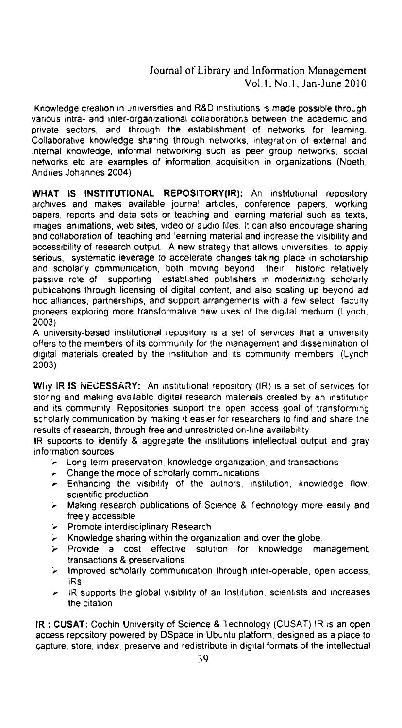# Journal of Library and Information Management Vol.l. No.1. Jan-June 2010

Knowledge creation in universities and R&D institutions is made possible through various intra~ and inter-organizational collaboratior.s between the academic and private sectors, and through the establishment of networks for learning. Collaborative knowledge sharing through networks, integration of external and internal knowledge, informal networking such as peer group networks. social networks etc are examples of information acquisition in organizations (Noeth, Andries Johannes 2004).

WHAT IS INSTITUTIONAL REPOSITORY(IR): An institutional repository archives and makes available journal articles, conference papers, working papers. reports and data sets or teaching and learning material such as texts. images. animations, web sites, video or audio files. It can also encourage sharing and collaboration of teaching and learning material and increase the visibility and accessibility of research output. A new strategy that allows universities to apply serious, systematic leverage to accelerate changes taking place in scholarship<br>and scholarly communication, both moving beyond their historic relatively and scholarly communication, both moving beyond their historic relatively passive role of supporting established publishers in modernizing scholarly publications through licensing of digital content, and also scaling up beyond ad hoc alliances, partnerships, and support arrangements with a few select faculty pioneers exploring more transformative new uses of the digital medium (Lynch, 2003).

A university-based institutional repository is a set of services that a university offers to the members of its community for the management and dissemination of digital materials created by the institution and its community members (Lynch 2003)

Why IR IS NECESSARY: An institutional repository (IR) is a set of services for storing and making available digital research materials created by an institution and its community Repositories support the open access goal of transforming scholarly communication by making it easier for researchers to find and share the results of research. through free and unrestricted on-line availability

IR supports to identify & aggregate the institutions intellectual output and gray information sources

- }' Long-term preservation, knowledge organization, and transactions
- Change the mode of scholarly communications
- $\blacktriangleright$  Enhancing the visibility of the authors, institution, knowledge flow. scientific production
- 'r Making research publications of Science 8. Technology more easily and freely accessible
- **Promote interdisciplinary Research**
- $\triangleright$  Knowledge sharing within the organization and over the globe.
- **Example 2 Frovide a cost effective solution for knowledge management.** transactions 8. preservations.
- Improved scholarly communication through inter-operable, open access. iRs
- IR supports the global visibility of an Institution, scientists and increases the citation

IR : CUSAT: Cochin University of Science 8. Technology (CUSAT) IR is an open access repository powered by DSpace in Ubuntu platform, designed as a place to capture, store, index, preserve and redistribute in digital formats of the intellectual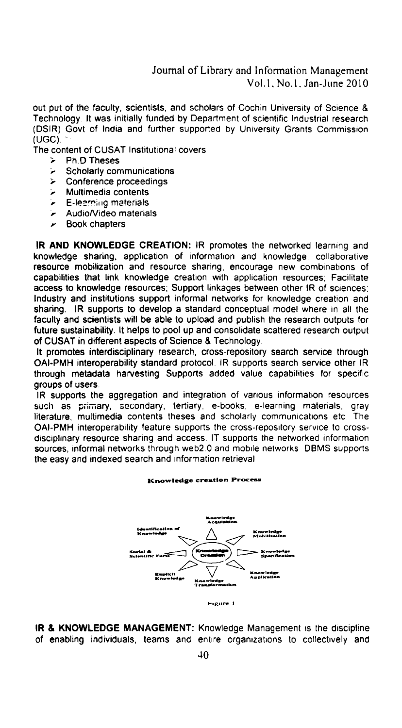Journal of Library and Information Management Vol.1, No.1, Jan-June 2010

out put of the faculty, scientists, and scholars of Cochin University of Science & Technology. It was initially funded by Department of scientific Industrial research (DSIR) Govt of India and further supported by University Grants Commission  $(UGC).$ 

The content of CUSAT Institutional covers

- **Ph.D Theses**  $\sim$
- Scholarly communications ٠,
- Conference proceedings  $\mathbf{r}$
- Multimedia contents ۶
- E-learning materials ۰.
- Audio/Video materials
- **Book chapters**

IR AND KNOWLEDGE CREATION: IR promotes the networked learning and knowledge sharing, application of information and knowledge, collaborative resource mobilization and resource sharing, encourage new combinations of capabilities that link knowledge creation with application resources; Facilitate access to knowledge resources; Support linkages between other IR of sciences; Industry and institutions support informal networks for knowledge creation and sharing. IR supports to develop a standard conceptual model where in all the faculty and scientists will be able to upload and publish the research outputs for future sustainability. It helps to pool up and consolidate scattered research output of CUSAT in different aspects of Science & Technology.

It promotes interdisciplinary research, cross-repository search service through OAI-PMH interoperability standard protocol. IR supports search service other IR through metadata harvesting Supports added value capabilities for specific groups of users.

IR supports the aggregation and integration of various information resources such as primary, secondary, tertiary, e-books, e-learning materials, gray literature, multimedia contents theses and scholarly communications etc. The OAI-PMH interoperability feature supports the cross-repository service to crossdisciplinary resource sharing and access. IT supports the networked information sources, informal networks through web2.0 and mobile networks DBMS supports the easy and indexed search and information retrieval

**Knowledge creation Process** 



IR & KNOWLEDGE MANAGEMENT: Knowledge Management is the discipline of enabling individuals, teams and entire organizations to collectively and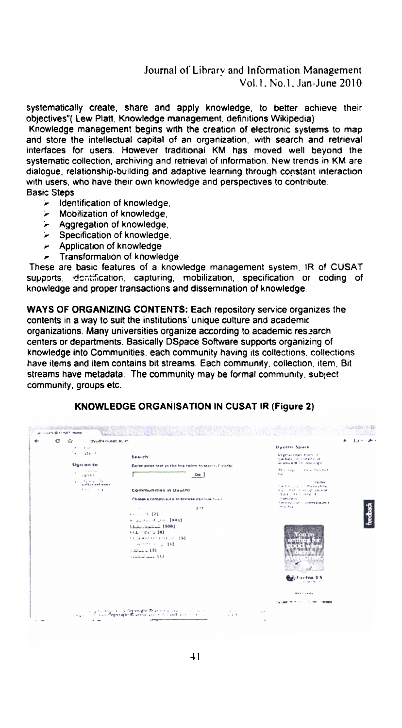# Journal of Library and Information Management Vol.1, No.1, Jan-June 2010

systematically create, share and apply knowledge, to better achieve their objectives"(Lew Platt, Knowledge management, definitions Wikipedia)

Knowledge management begins with the creation of electronic systems to map and store the intellectual capital of an organization, with search and retrieval interfaces for users. However traditional KM has moved well beyond the systematic collection, archiving and retrieval of information. New trends in KM are dialoque, relationship-building and adaptive learning through constant interaction with users, who have their own knowledge and perspectives to contribute. **Basic Steps** 

- Identification of knowledge, ➤
- Mobilization of knowledge,  $\overline{\phantom{a}}$
- > Aggregation of knowledge.
- > Specification of knowledge.
- Application of knowledge
- Transformation of knowledge.

These are basic features of a knowledge management system. IR of CUSAT supports, identification, capturing, mobilization, specification or coding of knowledge and proper transactions and dissemination of knowledge.

WAYS OF ORGANIZING CONTENTS: Each repository service organizes the contents in a way to suit the institutions' unique culture and academic organizations. Many universities organize according to academic research centers or departments. Basically DSpace Software supports organizing of knowledge into Communities, each community having its collections, collections have items and item contains bit streams. Each community, collection, item, Bit streams have metadata. The community may be formal community, subject community, groups etc.

|             | dvulla cusat ac in-                                                                                                                                                       |                                                                                                                                                                             |                                                    |                                                                                        |  |
|-------------|---------------------------------------------------------------------------------------------------------------------------------------------------------------------------|-----------------------------------------------------------------------------------------------------------------------------------------------------------------------------|----------------------------------------------------|----------------------------------------------------------------------------------------|--|
|             | $\bullet$ . $\bullet$ . $\bullet$ .                                                                                                                                       |                                                                                                                                                                             |                                                    | Dyuthi Spark                                                                           |  |
|             | $+ - 0.1004$                                                                                                                                                              | Search                                                                                                                                                                      |                                                    | Establish negative than sold<br>reachers believed as he all                            |  |
| Sign on to: |                                                                                                                                                                           | Enter some taxt in the box balow to sast?), E-y-ithi-                                                                                                                       |                                                    | Desertion of the Territories                                                           |  |
|             | The Contractors<br><b>VEGER</b>                                                                                                                                           |                                                                                                                                                                             | Go                                                 | This logic in the Hotel but<br>\$ keys                                                 |  |
|             | $1 - \frac{1}{2} \frac{1}{2} \frac{1}{2} \frac{1}{2} \frac{1}{2} \frac{1}{2} \frac{1}{2} \frac{1}{2} \frac{1}{2} \frac{1}{2} \frac{1}{2} \frac{1}{2}$<br>cotto bearington |                                                                                                                                                                             |                                                    | <b>Shauders</b>                                                                        |  |
|             | Advertising                                                                                                                                                               | <b>Communities in Dyuthi</b>                                                                                                                                                |                                                    | The Figure 2011 of Pressure all the<br><b>Report Follows</b> Controller administration |  |
|             |                                                                                                                                                                           |                                                                                                                                                                             |                                                    | 得错者 人名凯利 计中断字符                                                                         |  |
|             |                                                                                                                                                                           | Choose a community to browle its collective to                                                                                                                              |                                                    | Of service in<br>Flee business and the consent in those of                             |  |
|             |                                                                                                                                                                           | $-1.64$                                                                                                                                                                     | 3/3                                                | STOR 5441                                                                              |  |
|             |                                                                                                                                                                           | $22.75 - 12.5$                                                                                                                                                              |                                                    |                                                                                        |  |
|             |                                                                                                                                                                           | <b>HOUSE CONTRACTOR</b><br><b>FALL</b> (11511) 101<br>FELLOWED TRAINING \$50<br>where is 10                                                                                 |                                                    |                                                                                        |  |
|             |                                                                                                                                                                           |                                                                                                                                                                             |                                                    |                                                                                        |  |
|             |                                                                                                                                                                           |                                                                                                                                                                             |                                                    |                                                                                        |  |
|             |                                                                                                                                                                           |                                                                                                                                                                             |                                                    |                                                                                        |  |
|             |                                                                                                                                                                           |                                                                                                                                                                             |                                                    |                                                                                        |  |
|             |                                                                                                                                                                           | $12222 - 121$                                                                                                                                                               |                                                    |                                                                                        |  |
|             |                                                                                                                                                                           | <b>Tradical man 141</b>                                                                                                                                                     |                                                    |                                                                                        |  |
|             |                                                                                                                                                                           |                                                                                                                                                                             |                                                    |                                                                                        |  |
|             |                                                                                                                                                                           |                                                                                                                                                                             |                                                    |                                                                                        |  |
|             |                                                                                                                                                                           |                                                                                                                                                                             |                                                    |                                                                                        |  |
|             |                                                                                                                                                                           |                                                                                                                                                                             |                                                    | Budy Fisher Cox 3.5<br>$1.5433 - 2.0002$                                               |  |
|             |                                                                                                                                                                           |                                                                                                                                                                             |                                                    | MAX Face also                                                                          |  |
|             |                                                                                                                                                                           |                                                                                                                                                                             |                                                    | (GONN キサノニー)し物 (信頼)                                                                    |  |
|             |                                                                                                                                                                           | and the kinds of the Companies of the American state of the companies of the companies of the companies of the<br>of wage Convergent in grave areas to condition of the co- | the state of the dis-<br><b>Charles Controller</b> |                                                                                        |  |

### **KNOWLEDGE ORGANISATION IN CUSAT IR (Figure 2)**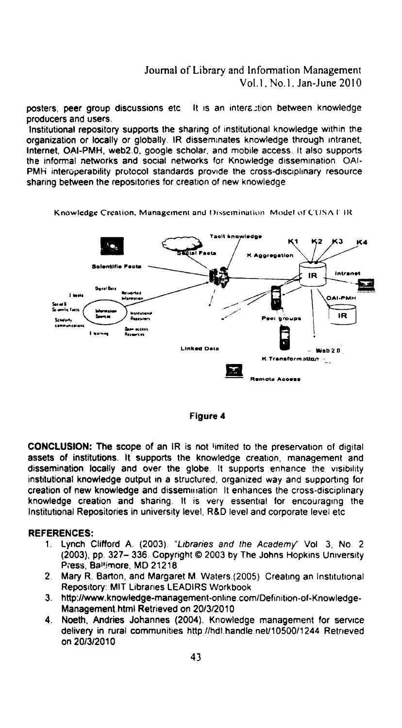## Journal of Library and Information Management Vol.1, No.1, Jan-June 2010

posters, peer group discussions etc. It is an interaction between knowledge producers and users.

Institutional repository supports the sharing of institutional knowledge within the organization or locally or globally. IR disseminates knowledge through intranet, Internet, OAI-PMH, web2.0, google scholar, and mobile access. It also supports the informal networks and social networks for Knowledge dissemination OAI-PMH interoperability protocol standards provide the cross-disciplinary resource sharing between the repositories for creation of new knowledge.

Knowledge Creation, Management and Dissemination. Model of CUSA FIR





CONCLUSION: The scope of an IR is not limited to the preservation of digital assets of institutions. It supports the knowledge creation, management and dissemination locally and over the globe. It supports enhance the visibility institutional knowledge output in a structured, organized way and supporting for creation of new knowledge and dissemination It enhances the cross-disciplinary knowledge creation and sharing. It is very essential for encouraging the Institutional Repositories in university level, R&D level and corporate level etc.

#### **REFERENCES:**

- 1. Lynch Clifford A. (2003). "Libraries and the Academy" Vol. 3, No. 2. (2003), pp. 327-336. Copyright © 2003 by The Johns Hopkins University Press, Baltimore, MD 21218
- Mary R. Barton, and Margaret M. Waters.(2005) Creating an Institutional  $2<sub>1</sub>$ Repository: MIT Libraries LEADIRS Workbook
- http://www.knowledge-management-online.com/Definition-of-Knowledge- $3.$ Management.html Retrieved on 20/3/2010
- Noeth, Andries Johannes (2004). Knowledge management for service  $4<sup>1</sup>$ delivery in rural communities http://hdl.handle.net/10500/1244 Retrieved on 20/3/2010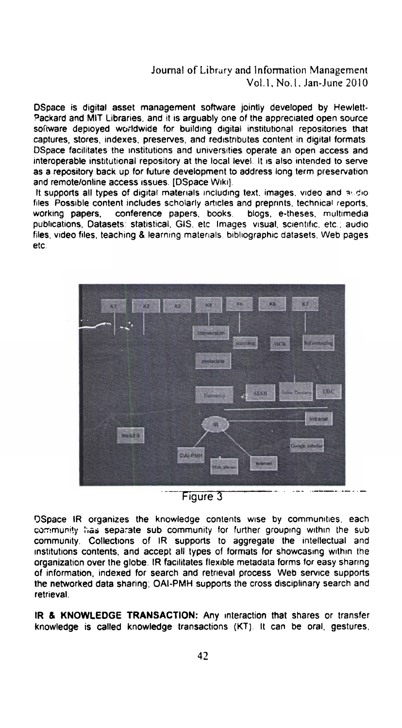## Journal of Librury and Information Management Vol.1. No.1. Jan-June 2010

Dspace is digital asset management software jointly developed by Hewlett-Packard and MIT Libraries. and it is arguably one of the appreciated open source software deployed worldwide for building digital institutional repositories that captures. stores. indexes. preserves, and redistributes content in digital formats. DSpace facilitates the institutions and universities operate an open access and interoperable institutional repository at the local level. It is also intended to serve as a repository back up for future development to address long term preservation and remote/online access issues. [DSpace Wiki].

It supports all types of digital materials including text, images, video and audio. files. Possible content includes scholarly articles and preprints. technical reports. working papers. conference papers, books. blogs, e-theses, multimedia publications. Datasets: statistical. GIS. etc Images visual, scientific. etc.; audio files, video files. teaching & learning materials. bibliographic datasets. Web pages etc.



DSpace IR organizes the knowledge contents wise by communities. each community has separate sub community for further grouping within the sub community. Collections of IR supports to aggregate the intellectual and institutions contents, and accept all types of formats for showcasing within the organization over the globe. IR facilitates flexible metadata forms for easy sharing of information, indexed for search and retrieval process Web service supports the networked data sharing; OAI-PMH supports the cross disciplinary search and retrieval.

IR & KNOWLEDGE TRANSACTION: Any interaction that shares or transfer knowledge is called knowledge transactions (KT). it can be oral. gestures.